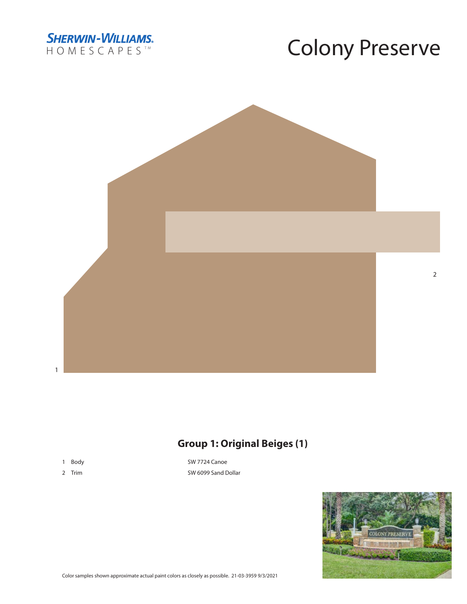



### **Group 1: Original Beiges (1)**

- 1 Body
- 2 Trim

SW 7724 Canoe SW 6099 Sand Dollar

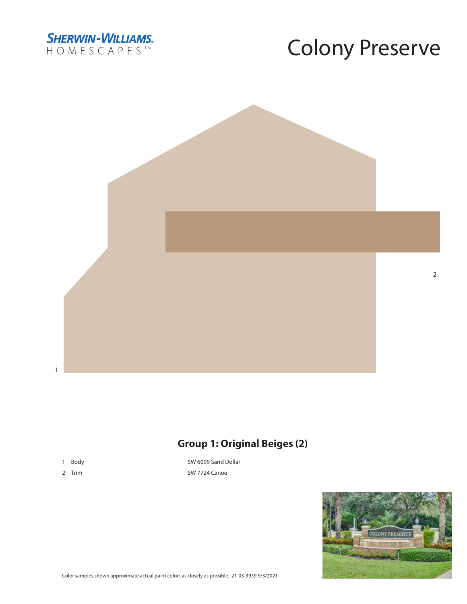



#### **Group 1: Original Beiges (2)**

- 1 Body
- 2 Trim

SW 6099 Sand Dollar SW 7724 Canoe



 $\overline{2}$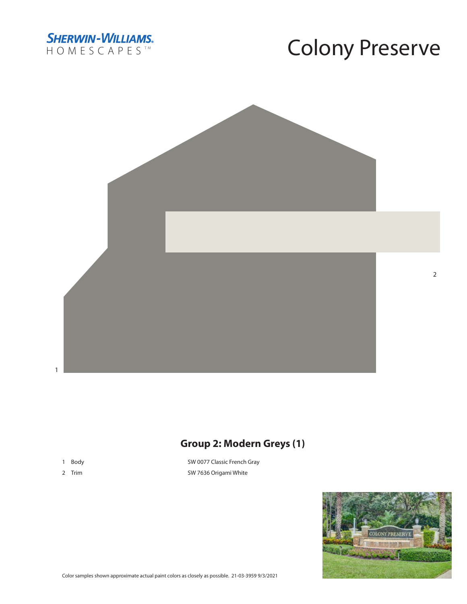



### **Group 2: Modern Greys (1)**

- 1 Body
- 2 Trim

SW 0077 Classic French Gray SW 7636 Origami White



Color samples shown approximate actual paint colors as closely as possible. 21-03-3959 9/3/2021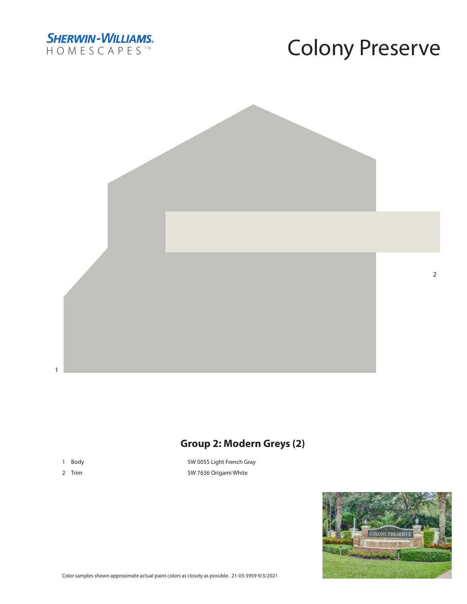



#### **Group 2: Modern Greys (2)**

- 1 Body
- 2 Trim

SW 0055 Light French Gray SW 7636 Origami White



 $\overline{2}$ 

Color samples shown approximate actual paint colors as closely as possible. 21-03-3959 9/3/2021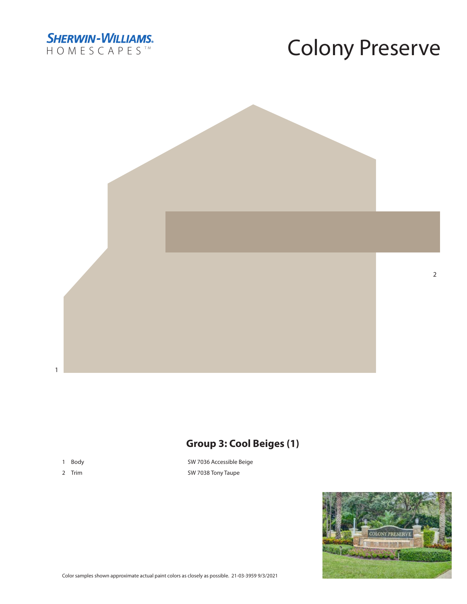



#### **Group 3: Cool Beiges (1)**

1 Body

 $\mathbf{1}$ 

2 Trim

SW 7036 Accessible Beige SW 7038 Tony Taupe

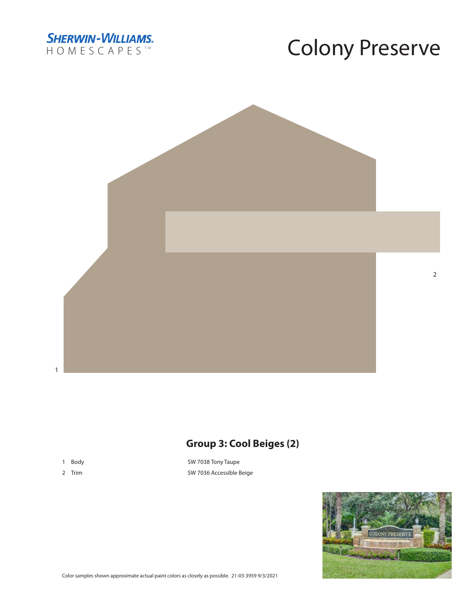



### **Group 3: Cool Beiges (2)**

- 1 Body
- 2 Trim

SW 7038 Tony Taupe SW 7036 Accessible Beige



 $\overline{2}$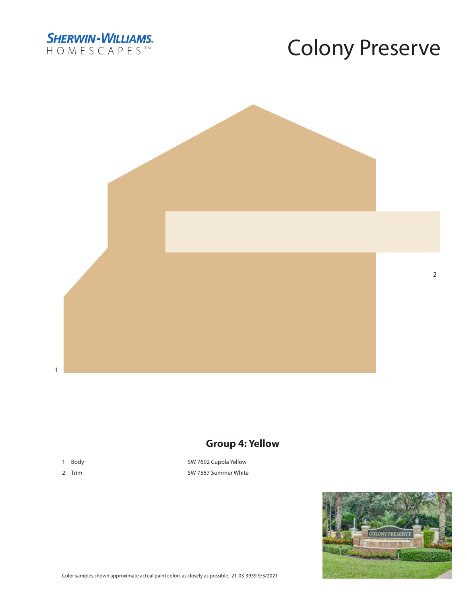



 $\overline{2}$ 

#### $\mathbf{1}$

### **Group 4: Yellow**

1 Body

2 Trim

SW 7692 Cupola Yellow SW 7557 Summer White